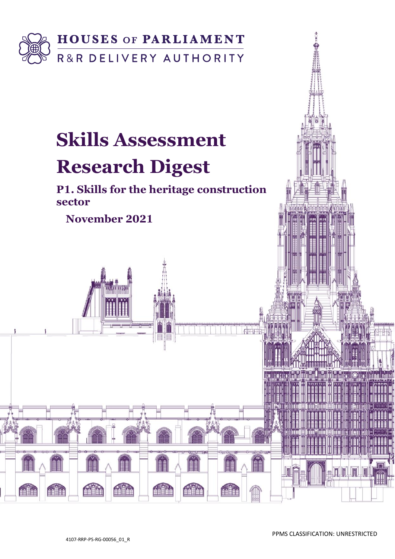

# **Skills Assessment**

# **Research Digest**

**P1. Skills for the heritage construction sector** 

**November 2021**

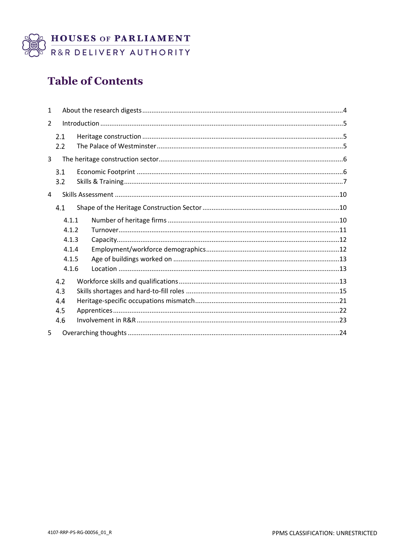

# **Table of Contents**

| $\mathbf{1}$   |            |  |  |
|----------------|------------|--|--|
| $\overline{2}$ |            |  |  |
|                | 2.1<br>2.2 |  |  |
| 3              |            |  |  |
|                | 3.1<br>3.2 |  |  |
| 4              |            |  |  |
|                | 4.1        |  |  |
|                | 4.1.1      |  |  |
|                | 4.1.2      |  |  |
|                | 4.1.3      |  |  |
|                | 4.1.4      |  |  |
|                | 4.1.5      |  |  |
|                | 4.1.6      |  |  |
|                | 4.2        |  |  |
|                | 4.3        |  |  |
|                | 4.4        |  |  |
|                | 4.5        |  |  |
|                | 4.6        |  |  |
| 5              |            |  |  |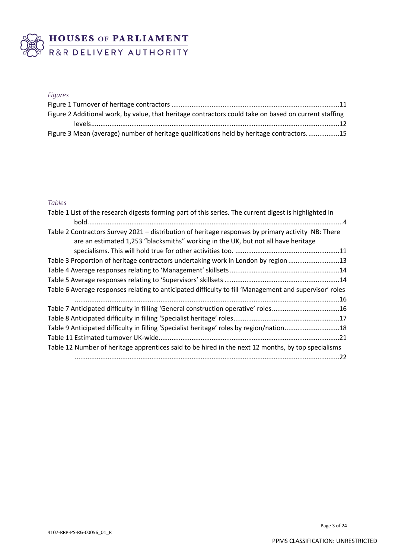

# BUSES OF PARLIAMENT

## *Figures*

| Figure 2 Additional work, by value, that heritage contractors could take on based on current staffing |  |
|-------------------------------------------------------------------------------------------------------|--|
|                                                                                                       |  |
| Figure 3 Mean (average) number of heritage qualifications held by heritage contractors15              |  |

## *Tables*

| Table 1 List of the research digests forming part of this series. The current digest is highlighted in |
|--------------------------------------------------------------------------------------------------------|
|                                                                                                        |
| Table 2 Contractors Survey 2021 - distribution of heritage responses by primary activity NB: There     |
| are an estimated 1,253 "blacksmiths" working in the UK, but not all have heritage                      |
|                                                                                                        |
| Table 3 Proportion of heritage contractors undertaking work in London by region 13                     |
|                                                                                                        |
|                                                                                                        |
| Table 6 Average responses relating to anticipated difficulty to fill 'Management and supervisor' roles |
|                                                                                                        |
| Table 7 Anticipated difficulty in filling 'General construction operative' roles16                     |
|                                                                                                        |
| Table 9 Anticipated difficulty in filling 'Specialist heritage' roles by region/nation18               |
|                                                                                                        |
| Table 12 Number of heritage apprentices said to be hired in the next 12 months, by top specialisms     |
| .22                                                                                                    |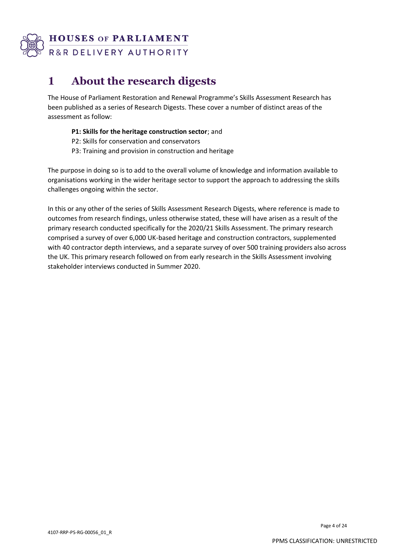

# **1 About the research digests**

The House of Parliament Restoration and Renewal Programme's Skills Assessment Research has been published as a series of Research Digests. These cover a number of distinct areas of the assessment as follow:

- **P1: Skills for the heritage construction sector**; and
- P2: Skills for conservation and conservators
- P3: Training and provision in construction and heritage

The purpose in doing so is to add to the overall volume of knowledge and information available to organisations working in the wider heritage sector to support the approach to addressing the skills challenges ongoing within the sector.

In this or any other of the series of Skills Assessment Research Digests, where reference is made to outcomes from research findings, unless otherwise stated, these will have arisen as a result of the primary research conducted specifically for the 2020/21 Skills Assessment. The primary research comprised a survey of over 6,000 UK-based heritage and construction contractors, supplemented with 40 contractor depth interviews, and a separate survey of over 500 training providers also across the UK. This primary research followed on from early research in the Skills Assessment involving stakeholder interviews conducted in Summer 2020.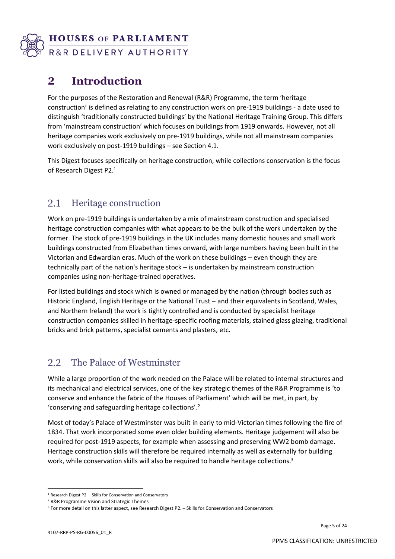

# **2 Introduction**

For the purposes of the Restoration and Renewal (R&R) Programme, the term 'heritage construction' is defined as relating to any construction work on pre-1919 buildings - a date used to distinguish 'traditionally constructed buildings' by the National Heritage Training Group. This differs from 'mainstream construction' which focuses on buildings from 1919 onwards. However, not all heritage companies work exclusively on pre-1919 buildings, while not all mainstream companies work exclusively on post-1919 buildings – see Section 4.1.

This Digest focuses specifically on heritage construction, while collections conservation is the focus of Research Digest P2. 1

#### 2.1 Heritage construction

Work on pre-1919 buildings is undertaken by a mix of mainstream construction and specialised heritage construction companies with what appears to be the bulk of the work undertaken by the former. The stock of pre-1919 buildings in the UK includes many domestic houses and small work buildings constructed from Elizabethan times onward, with large numbers having been built in the Victorian and Edwardian eras. Much of the work on these buildings – even though they are technically part of the nation's heritage stock – is undertaken by mainstream construction companies using non-heritage-trained operatives.

For listed buildings and stock which is owned or managed by the nation (through bodies such as Historic England, English Heritage or the National Trust – and their equivalents in Scotland, Wales, and Northern Ireland) the work is tightly controlled and is conducted by specialist heritage construction companies skilled in heritage-specific roofing materials, stained glass glazing, traditional bricks and brick patterns, specialist cements and plasters, etc.

#### $2.2$ The Palace of Westminster

While a large proportion of the work needed on the Palace will be related to internal structures and its mechanical and electrical services, one of the key strategic themes of the R&R Programme is 'to conserve and enhance the fabric of the Houses of Parliament' which will be met, in part, by 'conserving and safeguarding heritage collections'. 2

Most of today's Palace of Westminster was built in early to mid-Victorian times following the fire of 1834. That work incorporated some even older building elements. Heritage judgement will also be required for post-1919 aspects, for example when assessing and preserving WW2 bomb damage. Heritage construction skills will therefore be required internally as well as externally for building work, while conservation skills will also be required to handle heritage collections.<sup>3</sup>

<sup>1</sup> Research Digest P2. – Skills for Conservation and Conservators

<sup>2</sup> R&R Programme Vision and Strategic Themes

<sup>3</sup> For more detail on this latter aspect, see Research Digest P2. – Skills for Conservation and Conservators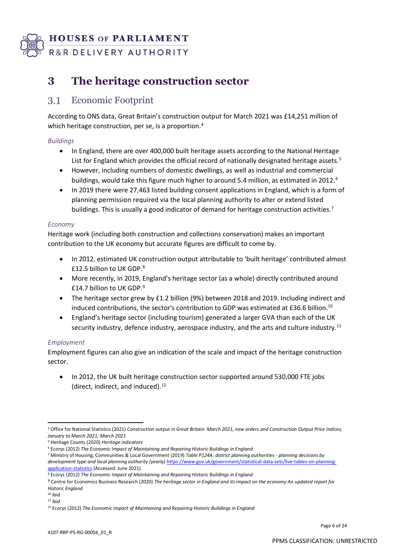

# **3 The heritage construction sector**

#### $3.1$ Economic Footprint

According to ONS data, Great Britain's construction output for March 2021 was £14,251 million of which heritage construction, per se, is a proportion.<sup>4</sup>

## *Buildings*

- In England, there are over 400,000 built heritage assets according to the National Heritage List for England which provides the official record of nationally designated heritage assets.<sup>5</sup>
- However, including numbers of domestic dwellings, as well as industrial and commercial buildings, would take this figure much higher to around 5.4 million, as estimated in 2012.<sup>6</sup>
- In 2019 there were 27,463 listed building consent applications in England, which is a form of planning permission required via the local planning authority to alter or extend listed buildings. This is usually a good indicator of demand for heritage construction activities.<sup>7</sup>

### *Economy*

Heritage work (including both construction and collections conservation) makes an important contribution to the UK economy but accurate figures are difficult to come by.

- In 2012, estimated UK construction output attributable to 'built heritage' contributed almost £12.5 billion to UK GDP.<sup>8</sup>
- More recently, in 2019, England's heritage sector (as a whole) directly contributed around £14.7 billion to UK GDP.<sup>9</sup>
- The heritage sector grew by £1.2 billion (9%) between 2018 and 2019. Including indirect and induced contributions, the sector's contribution to GDP was estimated at £36.6 billion.<sup>10</sup>
- England's heritage sector (including tourism) generated a larger GVA than each of the UK security industry, defence industry, aerospace industry, and the arts and culture industry*.* 11

## *Employment*

Employment figures can also give an indication of the scale and impact of the heritage construction sector.

• In 2012, the UK built heritage construction sector supported around 530,000 FTE jobs (direct, indirect, and induced).<sup>12</sup>

<sup>4</sup> Office for National Statistics (2021) *Construction output in Great Britain: March 2021, new orders and Construction Output Price Indices, January to March 2021: March 2021*

<sup>5</sup> Heritage Counts (2020) *Heritage indicators*

<sup>6</sup> Ecorys (2012) *The Economic Impact of Maintaining and Repairing Historic Buildings in England*

<sup>7</sup> Ministry of Housing, Communities & Local Government (2019) *Table P124A: district planning authorities - planning decisions by development type and local planning authority (yearly)* [https://www.gov.uk/government/statistical-data-sets/live-tables-on-planning](https://www.gov.uk/government/statistical-data-sets/live-tables-on-planning-application-statistics)[application-statistics](https://www.gov.uk/government/statistical-data-sets/live-tables-on-planning-application-statistics) (Accessed: June 2021)

<sup>8</sup> Ecorys (2012) *The Economic Impact of Maintaining and Repairing Historic Buildings in England*

<sup>9</sup> Centre for Economics Business Research (2020) *The heritage sector in England and its impact on the economy An updated report for Historic England*

 $10$  ibid  $11$  ihid

<sup>12</sup> Ecorys (2012) *The Economic Impact of Maintaining and Repairing Historic Buildings in England*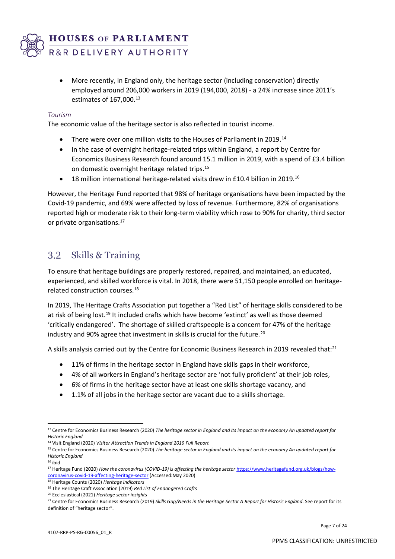

• More recently, in England only, the heritage sector (including conservation) directly employed around 206,000 workers in 2019 (194,000, 2018) - a 24% increase since 2011's estimates of 167,000.<sup>13</sup>

#### *Tourism*

The economic value of the heritage sector is also reflected in tourist income.

- There were over one million visits to the Houses of Parliament in 2019.<sup>14</sup>
- In the case of overnight heritage-related trips within England, a report by Centre for Economics Business Research found around 15.1 million in 2019, with a spend of £3.4 billion on domestic overnight heritage related trips.<sup>15</sup>
- 18 million international heritage-related visits drew in £10.4 billion in 2019.<sup>16</sup>

However, the Heritage Fund reported that 98% of heritage organisations have been impacted by the Covid-19 pandemic, and 69% were affected by loss of revenue. Furthermore, 82% of organisations reported high or moderate risk to their long-term viability which rose to 90% for charity, third sector or private organisations.<sup>17</sup>

#### 3.2 Skills & Training

To ensure that heritage buildings are properly restored, repaired, and maintained, an educated, experienced, and skilled workforce is vital. In 2018, there were 51,150 people enrolled on heritagerelated construction courses.<sup>18</sup>

In 2019, The Heritage Crafts Association put together a "Red List" of heritage skills considered to be at risk of being lost.<sup>19</sup> It included crafts which have become 'extinct' as well as those deemed 'critically endangered'. The shortage of skilled craftspeople is a concern for 47% of the heritage industry and 90% agree that investment in skills is crucial for the future.<sup>20</sup>

A skills analysis carried out by the Centre for Economic Business Research in 2019 revealed that:<sup>21</sup>

- 11% of firms in the heritage sector in England have skills gaps in their workforce,
- 4% of all workers in England's heritage sector are 'not fully proficient' at their job roles,
- 6% of firms in the heritage sector have at least one skills shortage vacancy, and
- 1.1% of all jobs in the heritage sector are vacant due to a skills shortage.

<sup>18</sup> Heritage Counts (2020) *Heritage indicators*

<sup>20</sup> Ecclesiastical (2021) *Heritage sector insights*

<sup>13</sup> Centre for Economics Business Research (2020) *The heritage sector in England and its impact on the economy An updated report for Historic England*

<sup>14</sup> Visit England (2020) *Visitor Attraction Trends in England 2019 Full Report*

<sup>15</sup> Centre for Economics Business Research (2020) *The heritage sector in England and its impact on the economy An updated report for Historic England*

 $16$  ibid

<sup>&</sup>lt;sup>17</sup> Heritage Fund (2020) *How the coronavirus (COVID-19) is affecting the heritage sector* [https://www.heritagefund.org.uk/blogs/how](https://www.heritagefund.org.uk/blogs/how-coronavirus-covid-19-affecting-heritage-sector)[coronavirus-covid-19-affecting-heritage-sector](https://www.heritagefund.org.uk/blogs/how-coronavirus-covid-19-affecting-heritage-sector) (Accessed:May 2020)

<sup>19</sup> The Heritage Craft Association (2019) *Red List of Endangered Crafts*

<sup>&</sup>lt;sup>21</sup> Centre for Economics Business Research (2019) *Skills Gap/Needs in the Heritage Sector A Report for Historic England.* See report for its definition of "heritage sector".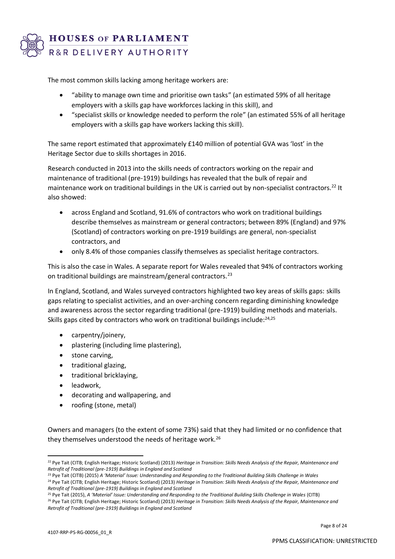

The most common skills lacking among heritage workers are:

- "ability to manage own time and prioritise own tasks" (an estimated 59% of all heritage employers with a skills gap have workforces lacking in this skill), and
- "specialist skills or knowledge needed to perform the role" (an estimated 55% of all heritage employers with a skills gap have workers lacking this skill).

The same report estimated that approximately £140 million of potential GVA was 'lost' in the Heritage Sector due to skills shortages in 2016.

Research conducted in 2013 into the skills needs of contractors working on the repair and maintenance of traditional (pre-1919) buildings has revealed that the bulk of repair and maintenance work on traditional buildings in the UK is carried out by non-specialist contractors.<sup>22</sup> It also showed:

- across England and Scotland, 91.6% of contractors who work on traditional buildings describe themselves as mainstream or general contractors; between 89% (England) and 97% (Scotland) of contractors working on pre-1919 buildings are general, non-specialist contractors, and
- only 8.4% of those companies classify themselves as specialist heritage contractors.

This is also the case in Wales. A separate report for Wales revealed that 94% of contractors working on traditional buildings are mainstream/general contractors.<sup>23</sup>

In England, Scotland, and Wales surveyed contractors highlighted two key areas of skills gaps: skills gaps relating to specialist activities, and an over-arching concern regarding diminishing knowledge and awareness across the sector regarding traditional (pre-1919) building methods and materials. Skills gaps cited by contractors who work on traditional buildings include:<sup>24,25</sup>

- carpentry/joinery,
- plastering (including lime plastering),
- stone carving,
- traditional glazing,
- traditional bricklaying,
- leadwork,
- decorating and wallpapering, and
- roofing (stone, metal)

Owners and managers (to the extent of some 73%) said that they had limited or no confidence that they themselves understood the needs of heritage work.<sup>26</sup>

<sup>26</sup> Pye Tait (CITB; English Heritage; Historic Scotland) (2013) *Heritage in Transition: Skills Needs Analysis of the Repair, Maintenance and Retrofit of Traditional (pre-1919) Buildings in England and Scotland*

<sup>22</sup> Pye Tait (CITB; English Heritage; Historic Scotland) (2013) *Heritage in Transition: Skills Needs Analysis of the Repair, Maintenance and Retrofit of Traditional (pre-1919) Buildings in England and Scotland*

<sup>23</sup> Pye Tait (CITB) (2015) *A 'Material' Issue: Understanding and Responding to the Traditional Building Skills Challenge in Wales*

<sup>24</sup> Pye Tait (CITB; English Heritage; Historic Scotland) (2013) *Heritage in Transition: Skills Needs Analysis of the Repair, Maintenance and Retrofit of Traditional (pre-1919) Buildings in England and Scotland*

<sup>25</sup> Pye Tait (2015), *A 'Material' Issue: Understanding and Responding to the Traditional Building Skills Challenge in Wales* (CITB)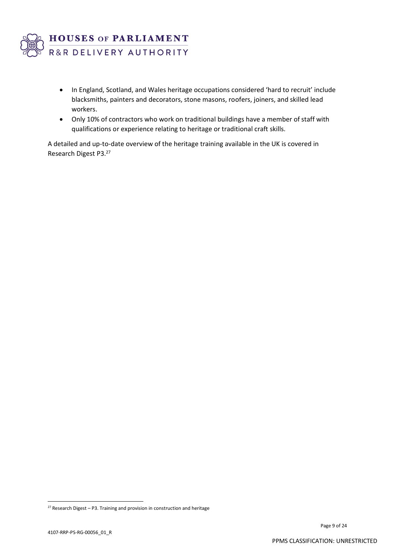

- In England, Scotland, and Wales heritage occupations considered 'hard to recruit' include blacksmiths, painters and decorators, stone masons, roofers, joiners, and skilled lead workers.
- Only 10% of contractors who work on traditional buildings have a member of staff with qualifications or experience relating to heritage or traditional craft skills.

A detailed and up-to-date overview of the heritage training available in the UK is covered in Research Digest P3. 27

 $27$  Research Digest – P3. Training and provision in construction and heritage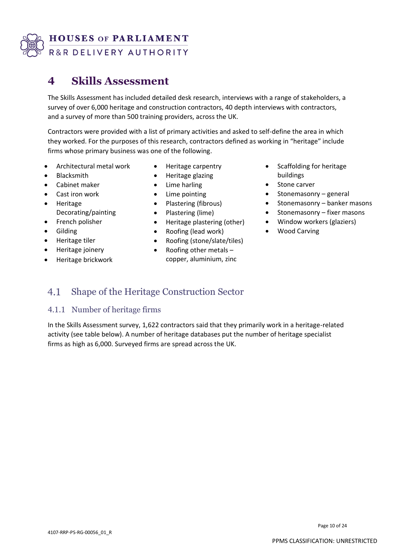

# **4 Skills Assessment**

The Skills Assessment has included detailed desk research, interviews with a range of stakeholders, a survey of over 6,000 heritage and construction contractors, 40 depth interviews with contractors, and a survey of more than 500 training providers, across the UK.

Contractors were provided with a list of primary activities and asked to self-define the area in which they worked. For the purposes of this research, contractors defined as working in "heritage" include firms whose primary business was one of the following.

- Architectural metal work
- Blacksmith
- Cabinet maker
- Cast iron work
- Heritage Decorating/painting
- French polisher
- **Gilding**
- Heritage tiler
- Heritage joinery
- Heritage brickwork
- Heritage carpentry
- Heritage glazing
- Lime harling
- Lime pointing
- Plastering (fibrous)
- Plastering (lime)
- Heritage plastering (other)
- Roofing (lead work)
- Roofing (stone/slate/tiles)
- Roofing other metals copper, aluminium, zinc
- Scaffolding for heritage buildings
- Stone carver
- Stonemasonry general
- Stonemasonry banker masons
- Stonemasonry fixer masons
- Window workers (glaziers)
- Wood Carving

#### 4.1 Shape of the Heritage Construction Sector

## 4.1.1 Number of heritage firms

In the Skills Assessment survey, 1,622 contractors said that they primarily work in a heritage-related activity (see table below). A number of heritage databases put the number of heritage specialist firms as high as 6,000. Surveyed firms are spread across the UK.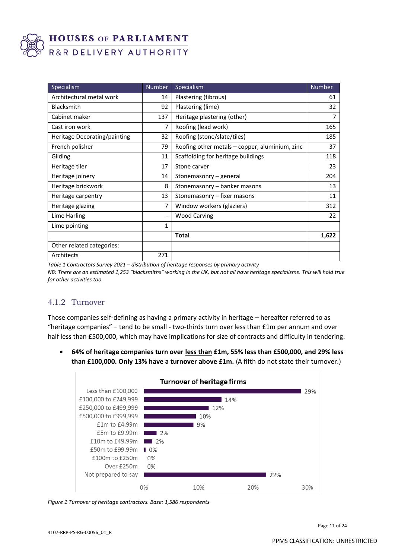

| Specialism                   | <b>Number</b>                | Specialism                                     | <b>Number</b>  |
|------------------------------|------------------------------|------------------------------------------------|----------------|
| Architectural metal work     | 14                           | Plastering (fibrous)                           | 61             |
| <b>Blacksmith</b>            | 92                           | Plastering (lime)                              | 32             |
| Cabinet maker                | 137                          | Heritage plastering (other)                    | $\overline{7}$ |
| Cast iron work               | 7                            | Roofing (lead work)                            | 165            |
| Heritage Decorating/painting | 32                           | Roofing (stone/slate/tiles)                    | 185            |
| French polisher              | 79                           | Roofing other metals - copper, aluminium, zinc | 37             |
| Gilding                      | 11                           | Scaffolding for heritage buildings             | 118            |
| Heritage tiler               | 17                           | Stone carver                                   | 23             |
| Heritage joinery             | 14                           | Stonemasonry – general                         | 204            |
| Heritage brickwork           | 8                            | Stonemasonry - banker masons                   | 13             |
| Heritage carpentry           | 13                           | Stonemasonry - fixer masons                    | 11             |
| Heritage glazing             | 7                            | Window workers (glaziers)                      | 312            |
| Lime Harling                 | $\qquad \qquad \blacksquare$ | <b>Wood Carving</b>                            | 22             |
| Lime pointing                | 1                            |                                                |                |
|                              |                              | <b>Total</b>                                   | 1,622          |
| Other related categories:    |                              |                                                |                |
| Architects                   | 271                          |                                                |                |

*Table 1 Contractors Survey 2021 – distribution of heritage responses by primary activity*

*NB: There are an estimated 1,253 "blacksmiths" working in the UK, but not all have heritage specialisms. This will hold true for other activities too.*

## 4.1.2 Turnover

Those companies self-defining as having a primary activity in heritage – hereafter referred to as "heritage companies" – tend to be small - two-thirds turn over less than £1m per annum and over half less than £500,000, which may have implications for size of contracts and difficulty in tendering.

• **64% of heritage companies turn over less than £1m, 55% less than £500,000, and 29% less than £100,000. Only 13% have a turnover above £1m.** (A fifth do not state their turnover.)



*Figure 1 Turnover of heritage contractors. Base: 1,586 respondents*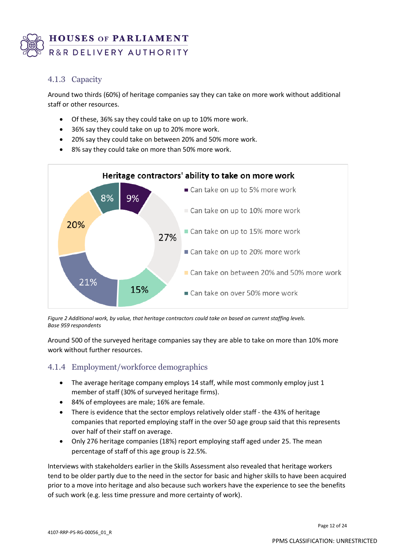

## 4.1.3 Capacity

Around two thirds (60%) of heritage companies say they can take on more work without additional staff or other resources.

- Of these, 36% say they could take on up to 10% more work.
- 36% say they could take on up to 20% more work.
- 20% say they could take on between 20% and 50% more work.
- 8% say they could take on more than 50% more work.



*Figure 2 Additional work, by value, that heritage contractors could take on based on current staffing levels. Base 959 respondents*

Around 500 of the surveyed heritage companies say they are able to take on more than 10% more work without further resources.

## 4.1.4 Employment/workforce demographics

- The average heritage company employs 14 staff, while most commonly employ just 1 member of staff (30% of surveyed heritage firms).
- 84% of employees are male; 16% are female.
- There is evidence that the sector employs relatively older staff the 43% of heritage companies that reported employing staff in the over 50 age group said that this represents over half of their staff on average.
- Only 276 heritage companies (18%) report employing staff aged under 25. The mean percentage of staff of this age group is 22.5%.

Interviews with stakeholders earlier in the Skills Assessment also revealed that heritage workers tend to be older partly due to the need in the sector for basic and higher skills to have been acquired prior to a move into heritage and also because such workers have the experience to see the benefits of such work (e.g. less time pressure and more certainty of work).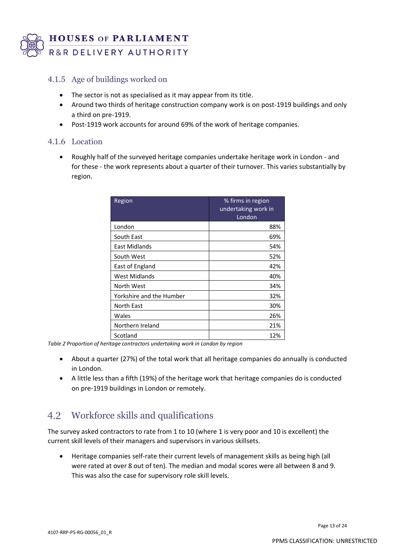

## 4.1.5 Age of buildings worked on

- The sector is not as specialised as it may appear from its title.
- Around two thirds of heritage construction company work is on post-1919 buildings and only a third on pre-1919.
- Post-1919 work accounts for around 69% of the work of heritage companies.

### 4.1.6 Location

• Roughly half of the surveyed heritage companies undertake heritage work in London - and for these - the work represents about a quarter of their turnover. This varies substantially by region.

| Region                   | % firms in region<br>undertaking work in<br>London |
|--------------------------|----------------------------------------------------|
| London                   | 88%                                                |
| South East               | 69%                                                |
| East Midlands            | 54%                                                |
| South West               | 52%                                                |
| East of England          | 42%                                                |
| West Midlands            | 40%                                                |
| North West               | 34%                                                |
| Yorkshire and the Humber | 32%                                                |
| <b>North East</b>        | 30%                                                |
| Wales                    | 26%                                                |
| Northern Ireland         | 21%                                                |
| Scotland                 | 12%                                                |

*Table 2 Proportion of heritage contractors undertaking work in London by region*

- About a quarter (27%) of the total work that all heritage companies do annually is conducted in London.
- A little less than a fifth (19%) of the heritage work that heritage companies do is conducted on pre-1919 buildings in London or remotely.

## Workforce skills and qualifications

The survey asked contractors to rate from 1 to 10 (where 1 is very poor and 10 is excellent) the current skill levels of their managers and supervisors in various skillsets.

• Heritage companies self-rate their current levels of management skills as being high (all were rated at over 8 out of ten). The median and modal scores were all between 8 and 9. This was also the case for supervisory role skill levels.

Page 13 of 24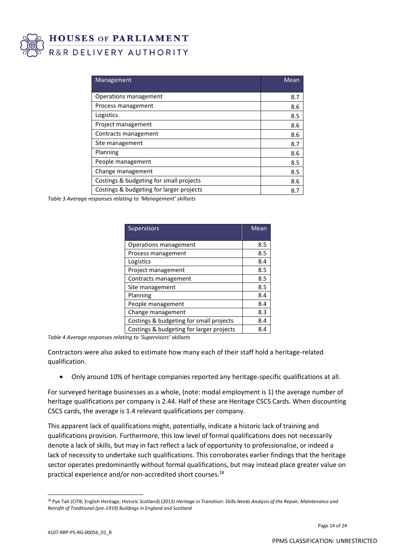

| Management                               | Mean |
|------------------------------------------|------|
| Operations management                    | 8.7  |
| Process management                       | 8.6  |
| Logistics                                | 8.5  |
| Project management                       | 8.6  |
| Contracts management                     | 8.6  |
| Site management                          | 8.7  |
| Planning                                 | 8.6  |
| People management                        | 8.5  |
| Change management                        | 8.5  |
| Costings & budgeting for small projects  | 8.6  |
| Costings & budgeting for larger projects | 8.7  |

*Table 3 Average responses relating to 'Management' skillsets*

| <b>Supervisors</b>                       | Mean |
|------------------------------------------|------|
|                                          |      |
| Operations management                    | 8.5  |
| Process management                       | 8.5  |
| Logistics                                | 8.4  |
| Project management                       | 8.5  |
| Contracts management                     | 8.5  |
| Site management                          | 8.5  |
| Planning                                 | 8.4  |
| People management                        | 8.4  |
| Change management                        | 8.3  |
| Costings & budgeting for small projects  | 8.4  |
| Costings & budgeting for larger projects | 8.4  |

*Table 4 Average responses relating to 'Supervisors' skillsets*

Contractors were also asked to estimate how many each of their staff hold a heritage-related qualification.

• Only around 10% of heritage companies reported any heritage-specific qualifications at all.

For surveyed heritage businesses as a whole, (note: modal employment is 1) the average number of heritage qualifications per company is 2.44. Half of these are Heritage CSCS Cards. When discounting CSCS cards, the average is 1.4 relevant qualifications per company.

This apparent lack of qualifications might, potentially, indicate a historic lack of training and qualifications provision. Furthermore, this low level of formal qualifications does not necessarily denote a lack of skills, but may in fact reflect a lack of opportunity to professionalise, or indeed a lack of necessity to undertake such qualifications. This corroborates earlier findings that the heritage sector operates predominantly without formal qualifications, but may instead place greater value on practical experience and/or non-accredited short courses.<sup>28</sup>

<sup>28</sup> Pye Tait (CITB; English Heritage; Historic Scotland) (2013) *Heritage in Transition: Skills Needs Analysis of the Repair, Maintenance and Retrofit of Traditional (pre-1919) Buildings in England and Scotland*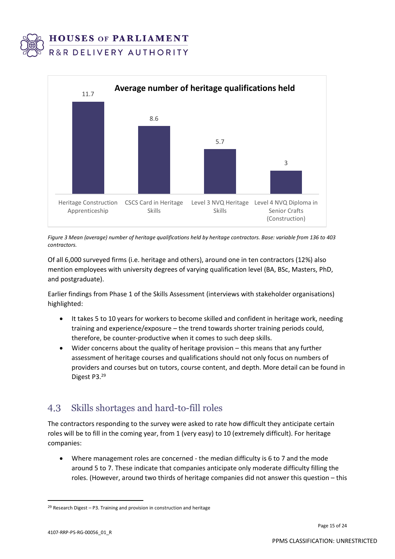



*Figure 3 Mean (average) number of heritage qualifications held by heritage contractors. Base: variable from 136 to 403 contractors.*

Of all 6,000 surveyed firms (i.e. heritage and others), around one in ten contractors (12%) also mention employees with university degrees of varying qualification level (BA, BSc, Masters, PhD, and postgraduate).

Earlier findings from Phase 1 of the Skills Assessment (interviews with stakeholder organisations) highlighted:

- It takes 5 to 10 years for workers to become skilled and confident in heritage work, needing training and experience/exposure – the trend towards shorter training periods could, therefore, be counter-productive when it comes to such deep skills.
- Wider concerns about the quality of heritage provision this means that any further assessment of heritage courses and qualifications should not only focus on numbers of providers and courses but on tutors, course content, and depth. More detail can be found in Digest P3. 29

#### Skills shortages and hard-to-fill roles 4.3

The contractors responding to the survey were asked to rate how difficult they anticipate certain roles will be to fill in the coming year, from 1 (very easy) to 10 (extremely difficult). For heritage companies:

• Where management roles are concerned - the median difficulty is 6 to 7 and the mode around 5 to 7. These indicate that companies anticipate only moderate difficulty filling the roles. (However, around two thirds of heritage companies did not answer this question – this

 $29$  Research Digest – P3. Training and provision in construction and heritage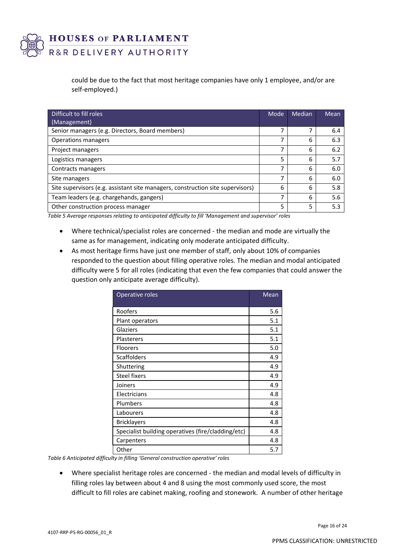

> could be due to the fact that most heritage companies have only 1 employee, and/or are self-employed.)

| Difficult to fill roles                                                        | Mode | Median | Mean |
|--------------------------------------------------------------------------------|------|--------|------|
| (Management)                                                                   |      |        |      |
| Senior managers (e.g. Directors, Board members)                                | ⇁    | 7      | 6.4  |
| Operations managers                                                            | ⇁    | 6      | 6.3  |
| Project managers                                                               | 7    | 6      | 6.2  |
| Logistics managers                                                             | 5    | 6      | 5.7  |
| Contracts managers                                                             | ⇁    | 6      | 6.0  |
| Site managers                                                                  | ⇁    | 6      | 6.0  |
| Site supervisors (e.g. assistant site managers, construction site supervisors) | 6    | 6      | 5.8  |
| Team leaders (e.g. chargehands, gangers)                                       | ⇁    | 6      | 5.6  |
| Other construction process manager                                             | 5    | 5      | 5.3  |

*Table 5 Average responses relating to anticipated difficulty to fill 'Management and supervisor' roles*

- Where technical/specialist roles are concerned the median and mode are virtually the same as for management, indicating only moderate anticipated difficulty.
- As most heritage firms have just one member of staff, only about 10% of companies responded to the question about filling operative roles. The median and modal anticipated difficulty were 5 for all roles (indicating that even the few companies that could answer the question only anticipate average difficulty).

| Operative roles                                    | Mean |
|----------------------------------------------------|------|
| Roofers                                            | 5.6  |
| Plant operators                                    | 5.1  |
| Glaziers                                           | 5.1  |
| <b>Plasterers</b>                                  | 5.1  |
| <b>Floorers</b>                                    | 5.0  |
| <b>Scaffolders</b>                                 | 4.9  |
| Shuttering                                         | 4.9  |
| <b>Steel fixers</b>                                | 4.9  |
| Joiners                                            | 4.9  |
| Electricians                                       | 4.8  |
| Plumbers                                           | 4.8  |
| Labourers                                          | 4.8  |
| <b>Bricklayers</b>                                 | 4.8  |
| Specialist building operatives (fire/cladding/etc) | 4.8  |
| Carpenters                                         | 4.8  |
| Other                                              | 5.7  |

*Table 6 Anticipated difficulty in filling 'General construction operative' roles*

• Where specialist heritage roles are concerned - the median and modal levels of difficulty in filling roles lay between about 4 and 8 using the most commonly used score, the most difficult to fill roles are cabinet making, roofing and stonework. A number of other heritage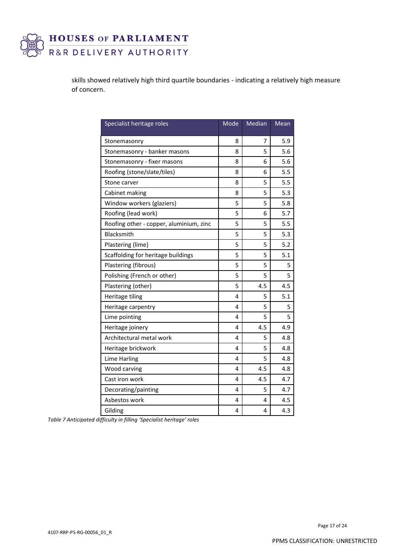

skills showed relatively high third quartile boundaries - indicating a relatively high measure of concern.

| Specialist heritage roles               | Mode | Median | Mean |
|-----------------------------------------|------|--------|------|
| Stonemasonry                            | 8    | 7      | 5.9  |
| Stonemasonry - banker masons            | 8    | 5      | 5.6  |
| Stonemasonry - fixer masons             | 8    | 6      | 5.6  |
| Roofing (stone/slate/tiles)             | 8    | 6      | 5.5  |
| Stone carver                            | 8    | 5      | 5.5  |
| Cabinet making                          | 8    | 5      | 5.3  |
| Window workers (glaziers)               | 5    | 5      | 5.8  |
| Roofing (lead work)                     | 5    | 6      | 5.7  |
| Roofing other - copper, aluminium, zinc | 5    | 5      | 5.5  |
| Blacksmith                              | 5    | 5      | 5.3  |
| Plastering (lime)                       | 5    | 5      | 5.2  |
| Scaffolding for heritage buildings      | 5    | 5      | 5.1  |
| Plastering (fibrous)                    | 5    | 5      | 5    |
| Polishing (French or other)             | 5    | 5      | 5    |
| Plastering (other)                      | 5    | 4.5    | 4.5  |
| Heritage tiling                         | 4    | 5      | 5.1  |
| Heritage carpentry                      | 4    | 5      | 5    |
| Lime pointing                           | 4    | 5      | 5    |
| Heritage joinery                        | 4    | 4.5    | 4.9  |
| Architectural metal work                | 4    | 5      | 4.8  |
| Heritage brickwork                      | 4    | 5      | 4.8  |
| Lime Harling                            | 4    | 5      | 4.8  |
| Wood carving                            | 4    | 4.5    | 4.8  |
| Cast iron work                          | 4    | 4.5    | 4.7  |
| Decorating/painting                     | 4    | 5      | 4.7  |
| Asbestos work                           | 4    | 4      | 4.5  |
| Gilding                                 | 4    | 4      | 4.3  |

*Table 7 Anticipated difficulty in filling 'Specialist heritage' roles*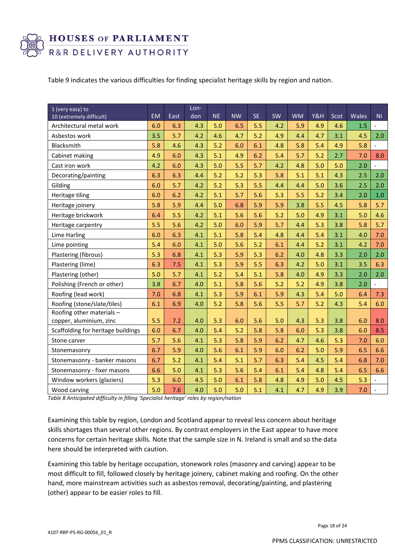

Table 9 indicates the various difficulties for finding specialist heritage skills by region and nation.

| 1 (very easy) to<br>10 (extremely difficult)         | <b>EM</b> | East | Lon-<br>don | <b>NE</b> | <b>NW</b> | <b>SE</b> | SW  | <b>WM</b> | Y&H | Scot | Wales | N <sub>1</sub>           |
|------------------------------------------------------|-----------|------|-------------|-----------|-----------|-----------|-----|-----------|-----|------|-------|--------------------------|
| Architectural metal work                             |           | 6.3  | 4.3         | 5.0       | 6.5       | 5.5       | 4.2 | 5.9       | 4.9 | 4.6  | 1.5   |                          |
| Asbestos work                                        | 3.5       | 5.7  | 4.2         | 4.6       | 4.7       | 5.2       | 4.9 | 4.4       | 4.7 | 3.1  | 4.5   | 2.0                      |
| Blacksmith                                           | 5.8       | 4.6  | 4.3         | 5.2       | 6.0       | 6.1       | 4.8 | 5.8       | 5.4 | 4.9  | 5.8   |                          |
| Cabinet making                                       | 4.9       | 6.0  | 4.3         | 5.1       | 4.9       | 6.2       | 5.4 | 5.7       | 5.2 | 2.7  | 7.0   | 8.0                      |
| Cast iron work                                       | 4.2       | 6.0  | 4.3         | 5.0       | 5.5       | 5.7       | 4.2 | 4.8       | 5.0 | 5.0  | 2.0   | $\overline{\phantom{0}}$ |
| Decorating/painting                                  | 6.3       | 6.3  | 4.4         | 5.2       | 5.2       | 5.3       | 5.8 | 5.1       | 5.1 | 4.3  | 2.5   | 2.0                      |
| Gilding                                              | 6.0       | 5.7  | 4.2         | 5.2       | 5.3       | 5.5       | 4.4 | 4.4       | 5.0 | 3.6  | 2.5   | 2.0                      |
| Heritage tiling                                      | 6.0       | 6.2  | 4.2         | 5.1       | 5.7       | 5.6       | 5.3 | 5.5       | 5.2 | 3.4  | 2.0   | 1.0                      |
| Heritage joinery                                     | 5.8       | 5.9  | 4.4         | 5.0       | 6.8       | 5.9       | 5.9 | 3.8       | 5.5 | 4.5  | 5.8   | 5.7                      |
| Heritage brickwork                                   | 6.4       | 5.5  | 4.2         | 5.1       | 5.6       | 5.6       | 5.2 | 5.0       | 4.9 | 3.1  | 5.0   | 4.6                      |
| Heritage carpentry                                   | 5.5       | 5.6  | 4.2         | 5.0       | 6.0       | 5.9       | 5.7 | 4.4       | 5.3 | 3.8  | 5.8   | 5.7                      |
| Lime Harling                                         |           | 6.3  | 4.1         | 5.1       | 5.8       | 5.4       | 4.8 | 4.4       | 5.4 | 3.1  | 4.0   | 7.0                      |
| Lime pointing                                        |           | 6.0  | 4.1         | 5.0       | 5.6       | 5.2       | 6.1 | 4.4       | 5.2 | 3.1  | 4.2   | 7.0                      |
| Plastering (fibrous)                                 | 5.3       | 6.8  | 4.1         | 5.3       | 5.9       | 5.3       | 6.2 | 4.0       | 4.8 | 3.3  | 2.0   | 2.0                      |
| Plastering (lime)                                    | 6.3       | 7.5  | 4.1         | 5.3       | 5.9       | 5.5       | 6.3 | 4.2       | 5.0 | 3.1  | 3.5   | 6.3                      |
| Plastering (other)                                   | 5.0       | 5.7  | 4.1         | 5.2       | 5.4       | 5.1       | 5.8 | 4.0       | 4.9 | 3.3  | 2.0   | 2.0                      |
| Polishing (French or other)                          | 3.8       | 6.7  | 4.0         | 5.1       | 5.8       | 5.6       | 5.2 | 5.2       | 4.9 | 3.8  | 2.0   | $\overline{a}$           |
| Roofing (lead work)                                  | 7.0       | 6.8  | 4.1         | 5.3       | 5.9       | 6.1       | 5.9 | 4.3       | 5.4 | 5.0  | 6.4   | 7.3                      |
| Roofing (stone/slate/tiles)                          | 6.1       | 6.9  | 4.0         | 5.2       | 5.8       | 5.6       | 5.5 | 5.7       | 5.2 | 4.3  | 5.4   | 6.0                      |
| Roofing other materials -<br>copper, aluminium, zinc | 5.5       | 7.2  | 4.0         | 5.3       | 6.0       | 5.6       | 5.0 | 4.3       | 5.3 | 3.8  | 6.0   | 8.0                      |
| Scaffolding for heritage buildings                   | 6.0       | 6.7  | 4.0         | 5.4       | 5.2       | 5.8       | 5.8 | 6.0       | 5.3 | 3.8  | 6.0   | 8.5                      |
| Stone carver                                         | 5.7       | 5.6  | 4.1         | 5.3       | 5.8       | 5.9       | 6.2 | 4.7       | 4.6 | 5.3  | 7.0   | 6.0                      |
| Stonemasonry                                         | 6.7       | 5.9  | 4.0         | 5.6       | 6.1       | 5.9       | 6.0 | 6.2       | 5.0 | 5.9  | 6.5   | 6.6                      |
| Stonemasonry - banker masons                         | 6.7       | 5.2  | 4.1         | 5.4       | 5.1       | 5.7       | 6.3 | 5.4       | 4.5 | 5.4  | 6.8   | 7.0                      |
| Stonemasonry - fixer masons                          | 6.6       | 5.0  | 4.1         | 5.3       | 5.6       | 5.4       | 6.1 | 5.4       | 4.8 | 5.4  | 6.5   | 6.6                      |
| Window workers (glaziers)                            | 5.3       | 6.0  | 4.5         | 5.0       | 6.1       | 5.8       | 4.8 | 4.9       | 5.0 | 4.5  | 5.3   | $\overline{\phantom{a}}$ |
| Wood carving                                         | 5.0       | 7.6  | 4.0         | 5.0       | 5.0       | 5.1       | 4.1 | 4.7       | 4.9 | 3.9  | 7.0   |                          |

*Table 8 Anticipated difficulty in filling 'Specialist heritage' roles by region/nation*

Examining this table by region, London and Scotland appear to reveal less concern about heritage skills shortages than several other regions. By contrast employers in the East appear to have more concerns for certain heritage skills. Note that the sample size in N. Ireland is small and so the data here should be interpreted with caution.

Examining this table by heritage occupation, stonework roles (masonry and carving) appear to be most difficult to fill, followed closely by heritage joinery, cabinet making and roofing. On the other hand, more mainstream activities such as asbestos removal, decorating/painting, and plastering (other) appear to be easier roles to fill.

Page 18 of 24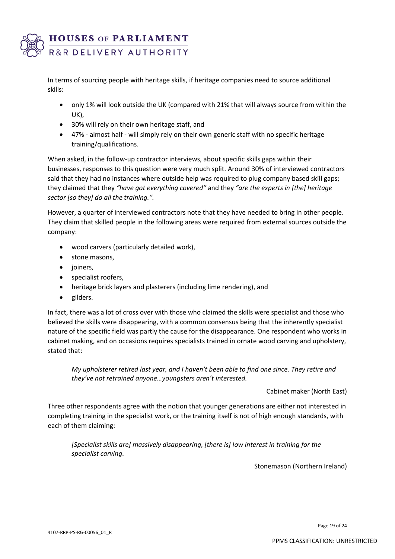

In terms of sourcing people with heritage skills, if heritage companies need to source additional skills:

- only 1% will look outside the UK (compared with 21% that will always source from within the UK),
- 30% will rely on their own heritage staff, and
- 47% almost half will simply rely on their own generic staff with no specific heritage training/qualifications.

When asked, in the follow-up contractor interviews, about specific skills gaps within their businesses, responses to this question were very much split. Around 30% of interviewed contractors said that they had no instances where outside help was required to plug company based skill gaps; they claimed that they *"have got everything covered"* and they *"are the experts in [the] heritage sector [so they] do all the training.".*

However, a quarter of interviewed contractors note that they have needed to bring in other people. They claim that skilled people in the following areas were required from external sources outside the company:

- wood carvers (particularly detailed work),
- stone masons,
- joiners,
- specialist roofers,
- heritage brick layers and plasterers (including lime rendering), and
- gilders.

In fact, there was a lot of cross over with those who claimed the skills were specialist and those who believed the skills were disappearing, with a common consensus being that the inherently specialist nature of the specific field was partly the cause for the disappearance. One respondent who works in cabinet making, and on occasions requires specialists trained in ornate wood carving and upholstery, stated that:

*My upholsterer retired last year, and I haven't been able to find one since. They retire and they've not retrained anyone…youngsters aren't interested.*

Cabinet maker (North East)

Three other respondents agree with the notion that younger generations are either not interested in completing training in the specialist work, or the training itself is not of high enough standards, with each of them claiming:

*[Specialist skills are] massively disappearing, [there is] low interest in training for the specialist carving.*

Stonemason (Northern Ireland)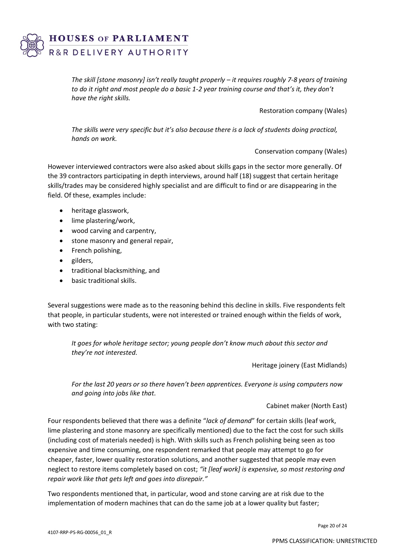

*The skill [stone masonry] isn't really taught properly – it requires roughly 7-8 years of training to do it right and most people do a basic 1-2 year training course and that's it, they don't have the right skills.*

Restoration company (Wales)

*The skills were very specific but it's also because there is a lack of students doing practical, hands on work.*

Conservation company (Wales)

However interviewed contractors were also asked about skills gaps in the sector more generally. Of the 39 contractors participating in depth interviews, around half (18) suggest that certain heritage skills/trades may be considered highly specialist and are difficult to find or are disappearing in the field. Of these, examples include:

- heritage glasswork,
- lime plastering/work,
- wood carving and carpentry,
- stone masonry and general repair,
- French polishing,
- gilders,
- traditional blacksmithing, and
- basic traditional skills.

Several suggestions were made as to the reasoning behind this decline in skills. Five respondents felt that people, in particular students, were not interested or trained enough within the fields of work, with two stating:

*It goes for whole heritage sector; young people don't know much about this sector and they're not interested.*

Heritage joinery (East Midlands)

*For the last 20 years or so there haven't been apprentices. Everyone is using computers now and going into jobs like that.*

Cabinet maker (North East)

Four respondents believed that there was a definite "*lack of demand*" for certain skills (leaf work, lime plastering and stone masonry are specifically mentioned) due to the fact the cost for such skills (including cost of materials needed) is high. With skills such as French polishing being seen as too expensive and time consuming, one respondent remarked that people may attempt to go for cheaper, faster, lower quality restoration solutions, and another suggested that people may even neglect to restore items completely based on cost; *"it [leaf work] is expensive, so most restoring and repair work like that gets left and goes into disrepair."*

Two respondents mentioned that, in particular, wood and stone carving are at risk due to the implementation of modern machines that can do the same job at a lower quality but faster;

Page 20 of 24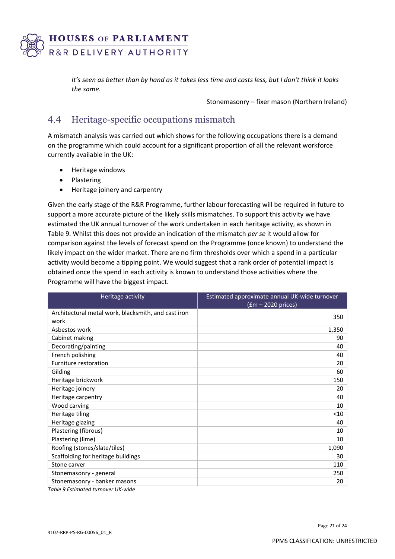

*It's seen as better than by hand as it takes less time and costs less, but I don't think it looks the same.*

Stonemasonry – fixer mason (Northern Ireland)

#### $4.4$ Heritage-specific occupations mismatch

A mismatch analysis was carried out which shows for the following occupations there is a demand on the programme which could account for a significant proportion of all the relevant workforce currently available in the UK:

- Heritage windows
- Plastering
- Heritage joinery and carpentry

Given the early stage of the R&R Programme, further labour forecasting will be required in future to support a more accurate picture of the likely skills mismatches. To support this activity we have estimated the UK annual turnover of the work undertaken in each heritage activity, as shown in Table 9. Whilst this does not provide an indication of the mismatch *per se* it would allow for comparison against the levels of forecast spend on the Programme (once known) to understand the likely impact on the wider market. There are no firm thresholds over which a spend in a particular activity would become a tipping point. We would suggest that a rank order of potential impact is obtained once the spend in each activity is known to understand those activities where the Programme will have the biggest impact.

| Heritage activity                                   | Estimated approximate annual UK-wide turnover<br>$(fm - 2020)$ prices) |
|-----------------------------------------------------|------------------------------------------------------------------------|
| Architectural metal work, blacksmith, and cast iron |                                                                        |
| work                                                | 350                                                                    |
| Asbestos work                                       | 1,350                                                                  |
| Cabinet making                                      | 90                                                                     |
| Decorating/painting                                 | 40                                                                     |
| French polishing                                    | 40                                                                     |
| Furniture restoration                               | 20                                                                     |
| Gilding                                             | 60                                                                     |
| Heritage brickwork                                  | 150                                                                    |
| Heritage joinery                                    | 20                                                                     |
| Heritage carpentry                                  | 40                                                                     |
| Wood carving                                        | 10                                                                     |
| Heritage tiling                                     | $<$ 10                                                                 |
| Heritage glazing                                    | 40                                                                     |
| Plastering (fibrous)                                | 10                                                                     |
| Plastering (lime)                                   | 10                                                                     |
| Roofing (stones/slate/tiles)                        | 1,090                                                                  |
| Scaffolding for heritage buildings                  | 30                                                                     |
| Stone carver                                        | 110                                                                    |
| Stonemasonry - general                              | 250                                                                    |
| Stonemasonry - banker masons                        | 20                                                                     |
| Table 9 Estimated turnover UK-wide                  |                                                                        |

Page 21 of 24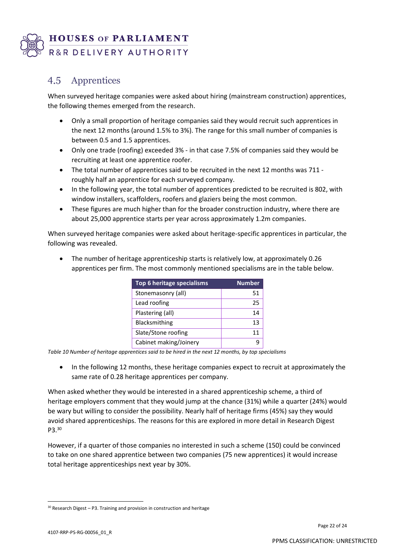

#### $4.5$ Apprentices

When surveyed heritage companies were asked about hiring (mainstream construction) apprentices, the following themes emerged from the research.

- Only a small proportion of heritage companies said they would recruit such apprentices in the next 12 months (around 1.5% to 3%). The range for this small number of companies is between 0.5 and 1.5 apprentices.
- Only one trade (roofing) exceeded 3% in that case 7.5% of companies said they would be recruiting at least one apprentice roofer.
- The total number of apprentices said to be recruited in the next 12 months was 711 roughly half an apprentice for each surveyed company.
- In the following year, the total number of apprentices predicted to be recruited is 802, with window installers, scaffolders, roofers and glaziers being the most common.
- These figures are much higher than for the broader construction industry, where there are about 25,000 apprentice starts per year across approximately 1.2m companies.

When surveyed heritage companies were asked about heritage-specific apprentices in particular, the following was revealed.

| Top 6 heritage specialisms | <b>Number</b> |
|----------------------------|---------------|
| Stonemasonry (all)         | 51            |
| Lead roofing               | 25            |
| Plastering (all)           | 14            |
| Blacksmithing              | 13            |
| Slate/Stone roofing        | 11            |
| Cabinet making/Joinery     |               |

• The number of heritage apprenticeship starts is relatively low, at approximately 0.26 apprentices per firm. The most commonly mentioned specialisms are in the table below.

*Table 10 Number of heritage apprentices said to be hired in the next 12 months, by top specialisms*

• In the following 12 months, these heritage companies expect to recruit at approximately the same rate of 0.28 heritage apprentices per company.

When asked whether they would be interested in a shared apprenticeship scheme, a third of heritage employers comment that they would jump at the chance (31%) while a quarter (24%) would be wary but willing to consider the possibility. Nearly half of heritage firms (45%) say they would avoid shared apprenticeships. The reasons for this are explored in more detail in Research Digest P3. 30

However, if a quarter of those companies no interested in such a scheme (150) could be convinced to take on one shared apprentice between two companies (75 new apprentices) it would increase total heritage apprenticeships next year by 30%.

 $30$  Research Digest – P3. Training and provision in construction and heritage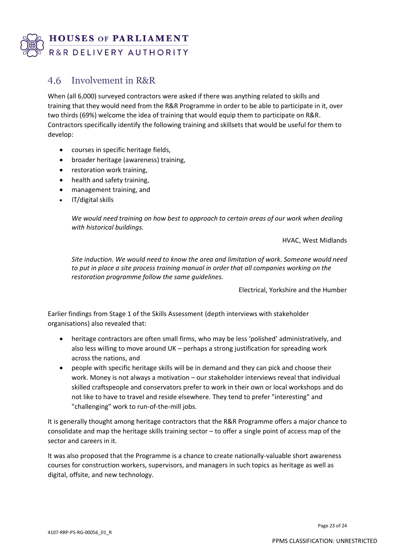

#### Involvement in R&R 4.6

When (all 6,000) surveyed contractors were asked if there was anything related to skills and training that they would need from the R&R Programme in order to be able to participate in it, over two thirds (69%) welcome the idea of training that would equip them to participate on R&R. Contractors specifically identify the following training and skillsets that would be useful for them to develop:

- courses in specific heritage fields,
- broader heritage (awareness) training,
- restoration work training,
- health and safety training,
- management training, and
- IT/digital skills

*We would need training on how best to approach to certain areas of our work when dealing with historical buildings.*

HVAC, West Midlands

*Site induction. We would need to know the area and limitation of work. Someone would need to put in place a site process training manual in order that all companies working on the restoration programme follow the same guidelines.*

Electrical, Yorkshire and the Humber

Earlier findings from Stage 1 of the Skills Assessment (depth interviews with stakeholder organisations) also revealed that:

- heritage contractors are often small firms, who may be less 'polished' administratively, and also less willing to move around UK – perhaps a strong justification for spreading work across the nations, and
- people with specific heritage skills will be in demand and they can pick and choose their work. Money is not always a motivation – our stakeholder interviews reveal that individual skilled craftspeople and conservators prefer to work in their own or local workshops and do not like to have to travel and reside elsewhere. They tend to prefer "interesting" and "challenging" work to run-of-the-mill jobs.

It is generally thought among heritage contractors that the R&R Programme offers a major chance to consolidate and map the heritage skills training sector – to offer a single point of access map of the sector and careers in it.

It was also proposed that the Programme is a chance to create nationally-valuable short awareness courses for construction workers, supervisors, and managers in such topics as heritage as well as digital, offsite, and new technology.